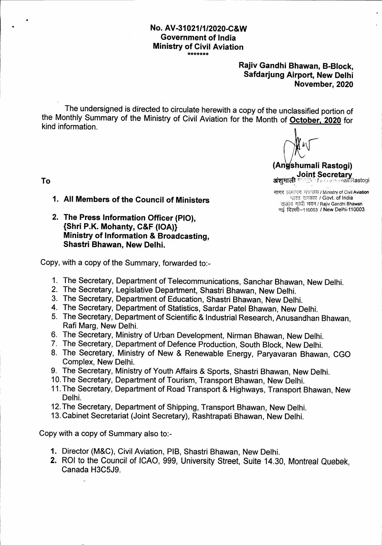# No. AV-31021/1/2020-C&W Government of lndia **Ministry of Civil Aviation**

### Rajiv Gandhi Bhawan, B-Block, Safdarjung Airport, New Delhi November,2020

The undersigned is directed to circulate herewith a copy of the unclassified portion of the Monthly Summary of the Ministry of Civil Aviation for the Month of <u>October, 2020</u> for kind information.

 $\mathfrak{g}(\mathcal{C})$ 

(Angshumali Rastogi) **Joint Secretary**<br>Well freesty mall Rastogi अंशमाली

नागर विमानन मंत्रालय / Ministry of Civil Aviation भारत सरकार / Govt. of India राजीव गांधी भवन / Rajiv Gandhi Bhawan नई दिल्ली-110003 / New Delhi-110003

To

- 1. All Members of the council of Ministers
- 2. The Press Information Officer (PlO), {Shri P.K. Mohanty, C&F (lOA)} Ministry of Information & Broadcasting, Shastri Bhawan, New Delhi.

Copy, with a copy of the Summary, forwarded to:-

- 1. The Secretary, Department of Telecommunications, Sanchar Bhawan, New Delhi.
- 2. The secretary, Legislative Department, shastri Bhawan, New Delhi.
- 3. The secretary, Department of Education, shastri Bhawan, New Delhi.
- 4. The Secretary, Department of Statistics, Sardar Patel Bhawan, New Delhi.
- 5. The Secretary, Department of Scientific & Industrial Research, Anusandhan Bhawan Rafi Marg, New Delhi.
- 6. The Secretary, Ministry of Urban Development, Nirman Bhawan, New Delhi.
- 7. The Secretary, Department of Defence Production, South Block, New Delhi.
- 8. The Secretary, Ministry of New & Renewable Energy, Paryavaran Bhawan, CGO Complex, New Delhi.
- 9. The Secretary, Ministry of Youth Affairs & Sports, Shastri Bhawan, New Delhi.
- 10. The Secretary, Department of Tourism, Transport Bhawan, New Delhi.
- <sup>1</sup>1. The Secretary, Department of Road Transport & Highways, Transport Bhawan, New Delhi.
- 12.The Secretary, Department of Shipping, Transport Bhawan, New Delhi.
- l3.Cabinet Secretariat (Joint Secretary), Rashtrapati Bhawan, New Delhi.

Copy with a copy of Summary also to:-

- 1. Director (M&C), Civil Aviation, PIB, Shastri Bhawan, New Delhi
- 2. ROI to the Council of ICAO, 999, University Street, Suite 14.30, Montreal Quebek Canada H3C5J9.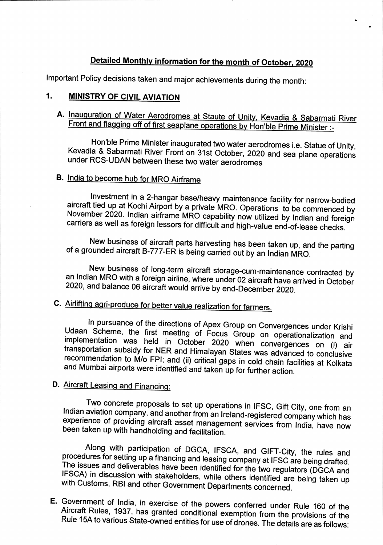# Detailed Monthly information for the month of October, 2020

lmportant Policy decisions taken and major achievements during the month:

### 1. MINISTRY OF CIVIL AVIATION

A. Inauguration of Water Aerodromes at Staute of Unity, Kevadia & Sabarmati River<br>Front and flagging off of first seaplane operations by Hon'ble Prime Minister :-

Hon'ble Prime Minister inaugurated two water aerodromes i.e. Statue of Unity, Kevadia & Sabarmati River Front on 31st October, 2020 and sea plane operations under RCS-UDAN between these two water aerodromes

# B. India to become hub for MRo Airframe

Investment in a 2-hangar base/heavy maintenance facility for narrow-bodied<br>aircraft tied up at Kochi Airport by a private MRO. Operations to be commenced by<br>November 2020. Indian airframe MRO capability now utilized by Ind

New business of aircraft parts harvesting has been taken up, and the parting of a grounded aircraft B-777-ER is being carried out by an Indian MRO.

New business of long-term aircraft storage-cum-maintenance contracted by an Indian MRO with a foreign airline, where under 02 aircraft have arrived in October 2020, and balance 06 aircraft would arrive by end-December 2020

# C. Airlifting agri-produce for better value realization for farmers.

In pursuance of the directions of Apex Group on Convergences under Krishi<br>Udaan Scheme, the first meeting of Focus Group on operationalization and<br>implementation was held in October 2020 when convergences on (i) air<br>transp

# D. Aircraft Leasing and Financing:

Two concrete proposals to set up operations in IFSC, Gift City, one from an Indian aviation company, and another from an Ireland-registered company which has experience of providing aircraft asset management services from

Along with participation of DGCA, IFSCA, and GIFT-City, the rules and<br>procedures for setting up a financing and leasing company at IFSC are being drafted.<br>The issues and deliverables have been identified for the two regula

E. Government of India, in exercise of the powers conferred under Rule 160 of the<br>Aircraft Rules, 1937, has granted conditional exemption from the provisions of the Rule 15A to various State-owned entities for use of drones. The details are as follows: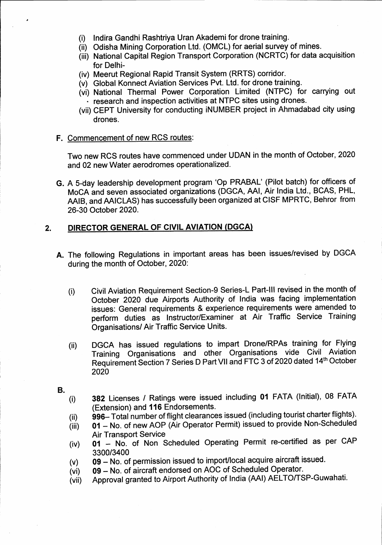- (i) Indira Gandhi Rashtriya Uran Akademi for drone training
- Odisha Mining Corporation Ltd. (OMCL) for aerial survey of mines. (ii)
- (iii) National Capital Region Transport Corporation (NCRTC) for data acquisitior for Delhi-
- (iv) Meerut Regional Rapid Transit System (RRTS) corridor.
- (v) Global Konnect Aviation Services Pvt. Ltd. for drone training
- (vi) National Thermal Power Corporation Limited (NTPC) for carrying out research and inspection activities at NTPC sites using drones.
- (vii) CEPT University for conducting iNUMBER project in Ahmadabad city using drones.
- F. Commencement of new RCS routes:

Two new RCS routes have commenced under UDAN in the month of October,2020 and 02 new Water aerodromes operationalized.

G. A 5-day leadership development program 'Op PRABAL' (Pilot batch) for officers of MoCA and seven associated organizations (DGCA, AAl, Air India Ltd., BCAS, PHL, AAIB, and AAICLAS) has successfully been organized at CISF MPRTC, Behror from 26-30 October 2020.

### DIRECTOR GENERAL OF CIVIL AVIATION (DGCA) 2.

- A. The following Regulations in important areas has been issues/revised by DGCA during the month of October, 2020:
	- Civil Aviation Requirement Section-9 Series-L Part-lll revised in the month of October 2O2O due Airports Authority of India was facing implementation issues: General requirements & experience requirements were amended to perform duties as Instructor/Examiner at Air Traffic Service Training Organisations/ Air Traffic Service Units. (i)
	- DGCA has issued regulations to impart Drone/RPAs training for Flying Training Organisations and other Organisations vide Civil Aviation Requirement Section 7 Series D Part VII and FTC 3 of 2020 dated 14th October 2020 (ii)
- 
- B.<br>(i) 382 Licenses / Ratings were issued including 01 FATA (Initial), 08 FATA (Extension) and 116 Endorsements.
	- (ii) 996- Total number of flight clearances issued (including tourist charter flights).
	- $\overline{f}$  (iii) 01 No. of new AOP (Air Operator Permit) issued to provide Non-Scheduled **Air Transport Service**
	- (iv) 01 No. of Non Scheduled Operating Permit re-certified as per CAP
	- $(v)$  09 No. of permission issued to import/local acquire aircraft issued.<br>(vi) 09 No. of aircraft endorsed on AOC of Scheduled Operator.
	-
	- (vi) 09 No. of aircraft endorsed on AOC of Scheduled Operator.<br>(vii) Approval granted to Airport Authority of India (AAI) AELTO/TS Approval granted to Airport Authority of India (AAI) AELTO/TSP-Guwahati.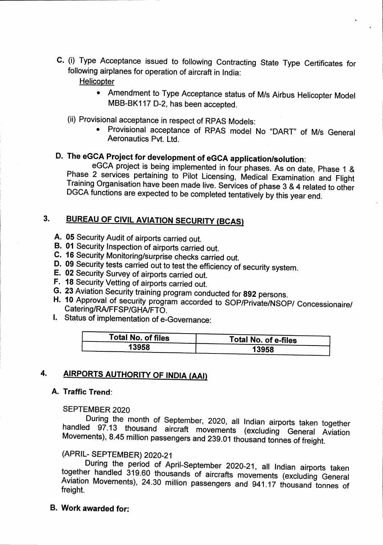C. (i) Type Acceptance issued to following Contracting State Type Certificates for following airplanes for operation of aircraft in India:

**Helicopter** 

- o Amendment to Type Acceptance status of M/s Airbus Helicopter Model MBB-BK117 D-2, has been accepted.
- 
- (ii) Provisional acceptance in respect of RPAS Models:<br>• Provisional acceptance of RPAS model No "DART" of M/s General Aeronautics Pvt. Ltd.

# D. The eGCA Project for development of eGCA application/solution:

eGCA project is being implemented in four phases. As on date, Phase 1 & Phase 2 services pertaining to Pilot Licensing, Medical Examination and Flight Training Organisation have been made live. Services of phase 3 & 4 related to other<br>DGCA functions are expected to be completed tentatively by this year end.

### **BUREAU OF CIVIL AVIATION SECURITY (BCAS)** 3.

- A. 05 Security Audit of airports carried out.
- **B. 01 Security Inspection of airports carried out.**
- c. 16 security Monitoring/surprise checks carried out.
- D. 09 Security tests carried out to test the efficiency of security system.<br>E. 02 Security Survey of airports carried out.
- 
- 
- F. 18 Security Vetting of airports carried out.<br>G. 23 Aviation Security training program conducted for 892 persons.
- H. 10 Approval of security program accorded to SOP/Private/NSOP/ Concessionaire/<br>Catering/RA/FFSP/GHA/FTO.<br>I. Status of implementation of e-Governance:
- 

| Total No. of files | <b>Total No. of e-files</b> |
|--------------------|-----------------------------|
| 13958              | 13958                       |

### 4.**AIRPORTS AUTHORITY OF INDIA (AAI)**

### A. Traffic Trend:

SEPTEMBER 2020<br>During the month of September, 2020, all Indian airports taken together During the month of September, 2020, all Indian airports taken together<br>handled 97.13 thousand aircraft movements (excluding General Aviation handled 97.13 thousand aircraft movements (excluding General Aviation<br>Movements), 8.45 million passengers and 239.01 thousand tonnes of freight.

(APRIL- SEPTEMBER) 2020-21<br>During the period of April-September 2020-21, all Indian airports taken together handled 319.60 thousands of aircrafts movements (excluding General Aviation Movements), 24.30 million passengers and 941.17 thousand tonnes of freight.

B. Work awarded for: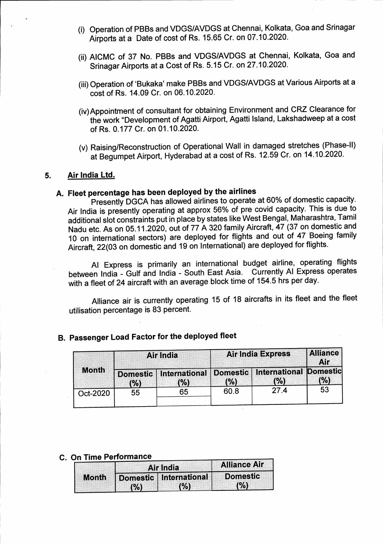- (i) Operation of PBBs and VDGS/AVDGS at Chennai, Kolkata, Goa and Srinagar Airports at a Date of cost of Rs. 15.65 Cr. on 07.10.2020.
- (ii) AICMC of 37 No. PBBs and VDGS/AVDGS at Chennai, Kolkata, Goa and Srinagar Airports at a Cost of Rs. 5.15 Cr. on 27.10.2020.
- (iii) Operation of 'Bukaka' make PBBs and VDGS/AVDGS at Various Airports at a cost of Rs. 14.09 Cr. on 06.10.2020.
- (iv) Appointment of consultant for obtaining Environment and CRZ Clearance for the work "Development of Agatti Airport, Agatti Island, Lakshadweep at a cost of Rs. 0.177 Gr. on 01.10.2020.
- (v) Raising/Reconstruction of Operational Wall in damaged stretches (Phase-II) at Begumpet Airport, Hyderabad at a cost of Rs. 12.59 Cr. on 14-10.2020.

### 5. Air lndia Ltd.

# A. Fleet percentage has been deployed by the airlines

Presently DGCA has allowed airlines to operate at 60% of domestic capacity. Air India is presently operating at approx 56% of pre covid capacity. This is due to additional slot constraints put in place by states like West Bengal, Maharashtra, Tamil Nadu etc. As on 05.11.2020, out of 77 A 320 family Aircraft, 47 (37 on domestic and 10 on international sectors) are deployed for flights and out of 47 Boeing family Aircraft, 22(03 on domestic and 19 on International) are deployed for flights.

Al Express is primarily an international budget airline, operating flights between India - Gulf and India - South East Asia. Currently Al Express operates with a fleet of 24 aircraft with an average block time of 154.5 hrs per day.

Alliance air is currently operating 15 of 18 aircrafts in its fleet and the fleet utilisation percentage is 83 percent.

# B. passenger Load Factor for the deployed fleet

|              |                        | Air India                             |      | <b>Air India Express</b>             | <b>Alliance</b><br>Air |
|--------------|------------------------|---------------------------------------|------|--------------------------------------|------------------------|
| <b>Month</b> | <b>Domestic</b><br>(%) | <b>International Domestic</b><br>(% ) | (%)  | <b>International Domestic</b><br>(%) | (%)                    |
| Oct-2020     | 55                     | 65                                    | 60.8 | 27.4                                 | 53                     |

### C. On Time Performance

| <b>Month</b> | <b>Alliance Air</b><br>Air India                                               |  |
|--------------|--------------------------------------------------------------------------------|--|
|              | <b>Domestic</b><br>Domestic International<br>(% )<br>$\sim$ (%)<br><b>1969</b> |  |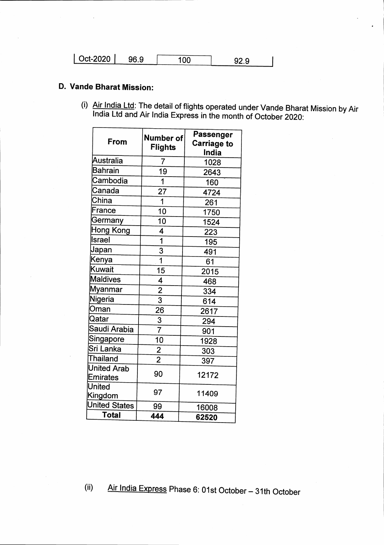| $\vert$ Oct-2020 $\vert$ | 96.9 | 92.9 |  |
|--------------------------|------|------|--|

# D. Vande Bharat Mission:

(i)  $\overline{\text{Air India Ltd}}$ : The detail of flights operated under Vande Bharat Mission by Air India Ltd and Air India Express in the month of October 2020:

| Number of<br>From<br><b>Flights</b>  | Passenger<br><b>Carriage to</b><br>India |
|--------------------------------------|------------------------------------------|
| Australia<br>7                       | 1028                                     |
| Bahrain<br>19                        | 2643                                     |
| Cambodia<br>1                        | 160                                      |
| Canada<br>27                         | 4724                                     |
| China<br>$\overline{1}$              | 261                                      |
| France<br>10                         | 1750                                     |
| Germany<br>10                        | 1524                                     |
| Hong Kong<br>4                       | 223                                      |
| <b>Israel</b><br>1                   | 195                                      |
| Japan<br>3                           | 491                                      |
| $\overline{\mathbf{1}}$<br>Kenya     | 61                                       |
| Kuwait<br>15                         | 2015                                     |
| <b>Maldives</b><br>4                 | 468                                      |
| $\frac{2}{3}$<br>Myanmar             | 334                                      |
| Nigeria                              | 614                                      |
| Oman<br>26                           | 2617                                     |
| Qatar<br>$rac{3}{7}$                 | 294                                      |
| Saudi Arabia                         | 901                                      |
| Singapore<br>10                      | 1928                                     |
| Sri Lanka<br>$\frac{2}{2}$           | 303                                      |
| <b>Thailand</b>                      | 397                                      |
| <b>United Arab</b><br>90<br>Emirates | 12172                                    |
| United<br>97<br>Kingdom              | 11409                                    |
| <b>United States</b><br>99           | 16008                                    |
| Total<br>444                         | 62520                                    |